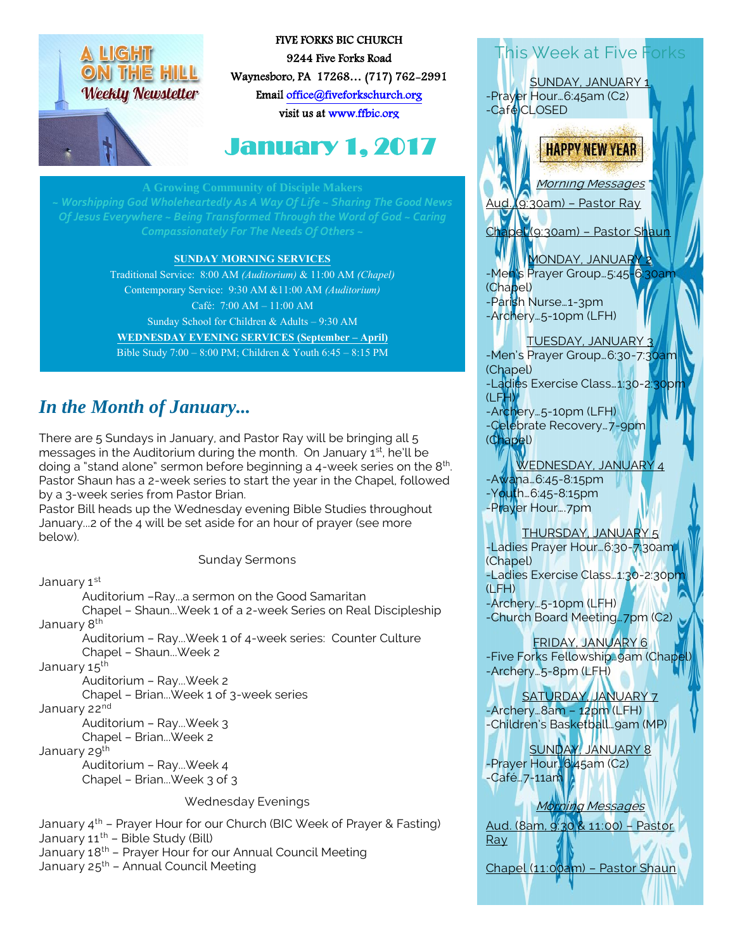# LIGHT ON THE HILL **Weekly Newsletter**



FIVE FORKS BIC CHURCH 9244 Five Forks Road Waynesboro, PA 17268… (717) 762-2991 Emai[l office@fiveforkschurch.org](mailto:office@fiveforkschurch.org)  visit us a[t www.ffbic.org](http://www.ffbic.org/) 

# January 1, 2017

#### **A Growing Community of Disciple Mak**

#### **SUNDAY MORNING SERVICES**

Traditional Service: 8:00 AM *(Auditorium)* & 11:00 AM *(Chapel)* Contemporary Service: 9:30 AM &11:00 AM *(Auditorium)* Café: 7:00 AM – 11:00 AM Sunday School for Children & Adults – 9:30 AM **WEDNESDAY EVENING SERVICES (September – April)** Bible Study 7:00 – 8:00 PM; Children & Youth 6:45 – 8:15 PM

# *In the Month of January...*

There are 5 Sundays in January, and Pastor Ray will be bringing all 5 messages in the Auditorium during the month. On January 1st, he'll be doing a "stand alone" sermon before beginning a 4-week series on the 8<sup>th</sup>. Pastor Shaun has a 2-week series to start the year in the Chapel, followed by a 3-week series from Pastor Brian.

Pastor Bill heads up the Wednesday evening Bible Studies throughout January...2 of the 4 will be set aside for an hour of prayer (see more below).

Sunday Sermons

January 1st

Auditorium –Ray...a sermon on the Good Samaritan Chapel – Shaun...Week 1 of a 2-week Series on Real Discipleship January 8<sup>th</sup>

Auditorium – Ray...Week 1 of 4-week series: Counter Culture Chapel – Shaun...Week 2

January 15<sup>th</sup>

Auditorium – Ray...Week 2

Chapel – Brian...Week 1 of 3-week series

January 22<sup>nd</sup>

Auditorium – Ray...Week 3 Chapel – Brian...Week 2

January 29<sup>th</sup>

Auditorium – Ray...Week 4 Chapel – Brian...Week 3 of 3

#### Wednesday Evenings

January 4<sup>th</sup> – Prayer Hour for our Church (BIC Week of Prayer & Fasting) January  $11^{th}$  – Bible Study (Bill) January 18th – Prayer Hour for our Annual Council Meeting January  $25^{th}$  – Annual Council Meeting

-Prayer Hour…6:45am (C2) -Café CLOSED **HAPPY NEW YEAR** Morning Messages Aud. (9:30am) – Pastor Ray Chapel (9:30am) – Pastor Shaun MONDAY, JANUARY 2

This Week at Five Forks

SUNDAY, JANUARY 1

-Men's Prayer Group…5:45-6:30am (Chapel) -Parish Nurse…1-3pm -Archery…5-10pm (LFH)

#### TUESDAY, JANUARY

-Men's Prayer Group... 6:30-7:30am (Chapel) -Ladies Exercise Class...1:30-2:30p  $(LFH)$ 

-Archery…5-10pm (LFH) -Celebrate Recovery…7-9pm (Chapel)

WEDNESDAY, JANUARY 4 -Awana…6:45-8:15pm -Youth…6:45-8:15pm

-Prayer Hour….7pm

#### THURSDAY, JANUARY 5

-Ladies Prayer Hour…6:30-7:30am (Chapel) -Ladies Exercise Class…1:30-2:30pm (LFH) -Archery…5-10pm (LFH)

-Church Board Meeting…7pm (C2)

### FRIDAY, JANUARY 6

-Five Forks Fellowship. 9am (Chape -Archery…5-8pm (LFH)

SATURDAY, JANUARY 7 -Archery…8am – 12pm (LFH) -Children's Basketball…9am (MP)

SUNDAY, JANUARY 8 -Prayer Hour.<sup>16:</sup>45am (C2)  $-$ Café…7-11am

#### Morning Messages

Aud. (8am, 9:30 & 11:00) – Pastor Ray

Chapel (11:00am) – Pastor Shaun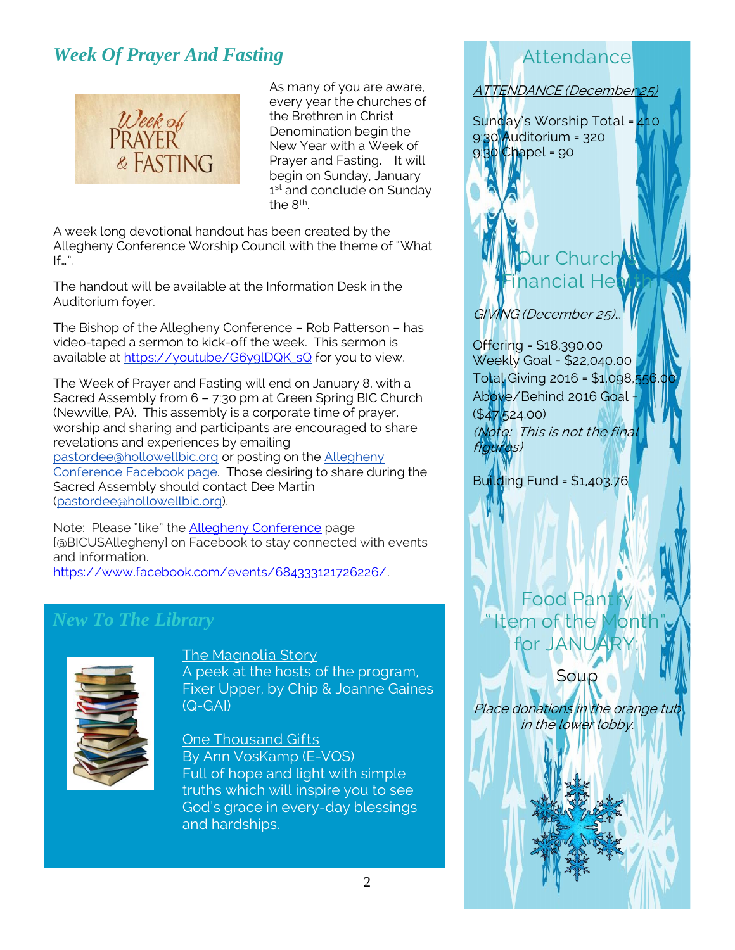# *Week Of Prayer And Fasting*



As many of you are aware, every year the churches of the Brethren in Christ Denomination begin the New Year with a Week of Prayer and Fasting. It will begin on Sunday, January 1<sup>st</sup> and conclude on Sunday the 8<sup>th</sup>.

A week long devotional handout has been created by the Allegheny Conference Worship Council with the theme of "What  $If...$ ".

The handout will be available at the Information Desk in the Auditorium foyer.

The Bishop of the Allegheny Conference – Rob Patterson – has video-taped a sermon to kick-off the week. This sermon is available at [https://youtube/G6y9lDQK\\_sQ](https://youtube/G6y9lDQK_sQ) for you to view.

The Week of Prayer and Fasting will end on January 8, with a Sacred Assembly from 6 – 7:30 pm at Green Spring BIC Church (Newville, PA). This assembly is a corporate time of prayer, worship and sharing and participants are encouraged to share revelations and experiences by emailing [pastordee@hollowellbic.org](mailto:pastordee@hollowellbic.org) or posting on the [Allegheny](https://www.facebook.com/BICUSAllegheny/)  [Conference Facebook page.](https://www.facebook.com/BICUSAllegheny/) Those desiring to share during the Sacred Assembly should contact Dee Martin [\(pastordee@hollowellbic.org\)](mailto:pastordee@hollowellbic.org).

Note: Please "like" the **[Allegheny Conference](https://www.facebook.com/BICUSAllegheny/)** page [@BICUSAllegheny] on Facebook to stay connected with events and information.

[https://www.facebook.com/events/684333121726226/.](https://www.facebook.com/events/684333121726226/)

### *New To The Library*



The Magnolia Story A peek at the hosts of the program, Fixer Upper, by Chip & Joanne Gaines (Q-GAI)

One Thousand Gifts By Ann VosKamp (E-VOS) Full of hope and light with simple truths which will inspire you to see God's grace in every-day blessings and hardships.

# Attendance

ATTENDANCE (December 25)

Sunday's Worship Total = 410 9:30 Auditorium = 320  $9:30$  Chapel = 90

# Churc **Financial Health**

GIVING (December 25)…

Offering = \$18,390.00 Weekly Goal = \$22,040.00 Total Giving 2016 = \$1,098,556 Above/Behind 2016 Goal = (\$47,524.00) (Note: This is not the final figures)

Building Fund = \$1,403.76



Soup

Place donations in the orange tub in the lower lobby.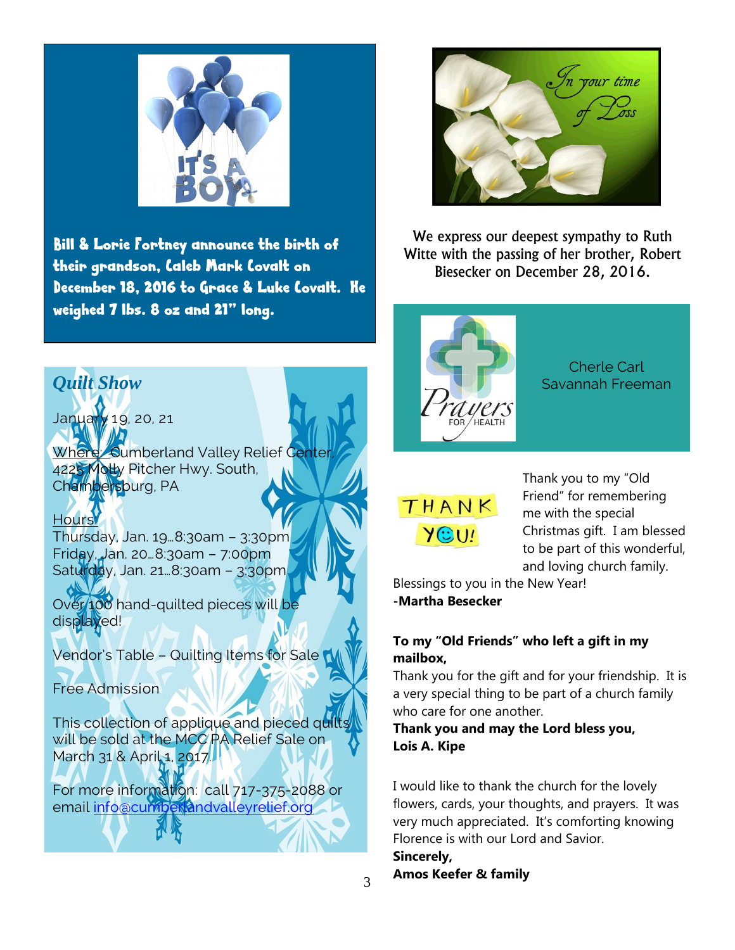

Bill & Lorie Fortney announce the birth of their grandson, Caleb Mark Covalt on December 18, 2016 to Grace & Luke Covalt. He weighed 7 lbs. 8 oz and 21" long.



January 19, 20, 21

Where: Cumberland Valley Relief Center 4225 Molly Pitcher Hwy. South, Chambersburg, PA

Hours: Thursday, Jan. 19…8:30am – 3:30pm Friday, Jan. 20…8:30am – 7:00pm Saturday, Jan. 21…8:30am – 3:30pm

Over 100 hand-quilted pieces will be displayed!

Vendor's Table - Quilting Items for Sale

Free Admission

This collection of applique and pieced quilts will be sold at the MCC PA Relief Sale on March 31 & April 1, 2017.

For more information: call 717-375-2088 or email info@cumberdandvalleyrelief.org



We express our deepest sympathy to Ruth Witte with the passing of her brother, Robert Biesecker on December 28, 2016.



Cherle Carl

# THANK  $Y^{\odot}U!$

Thank you to my "Old Friend" for remembering me with the special Christmas gift. I am blessed to be part of this wonderful, and loving church family.

Blessings to you in the New Year! **-Martha Besecker**

#### **To my "Old Friends" who left a gift in my mailbox,**

Thank you for the gift and for your friendship. It is a very special thing to be part of a church family who care for one another.

**Thank you and may the Lord bless you, Lois A. Kipe**

I would like to thank the church for the lovely flowers, cards, your thoughts, and prayers. It was very much appreciated. It's comforting knowing Florence is with our Lord and Savior. **Sincerely,**

#### **Amos Keefer & family**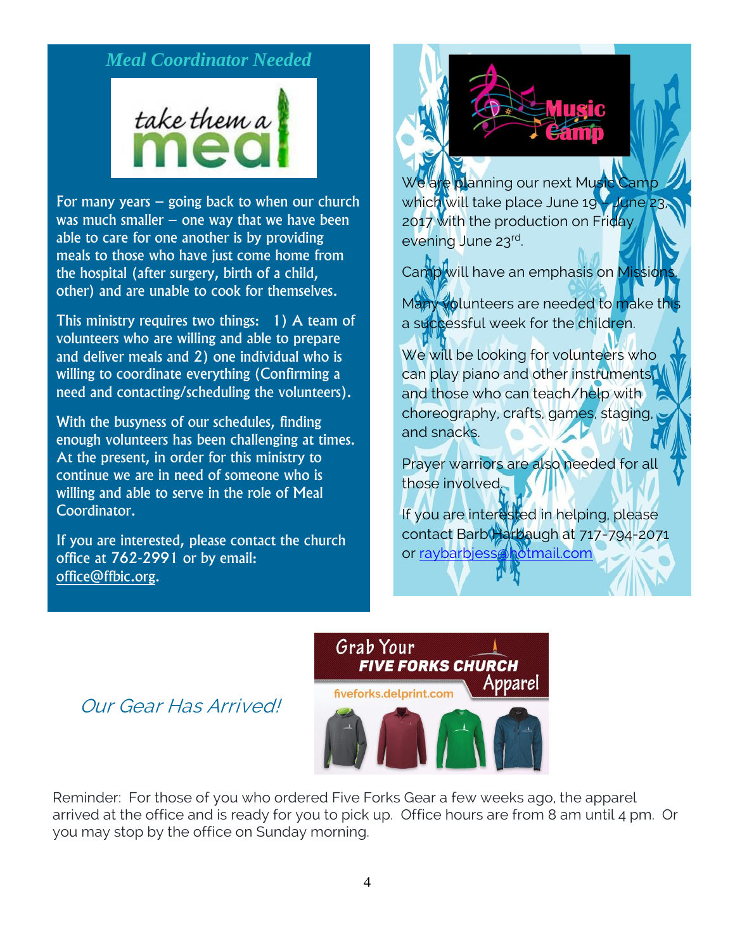## *Meal Coordinator Needed*

take them a

For many years – going back to when our church was much smaller  $-$  one way that we have been able to care for one another is by providing meals to those who have just come home from the hospital (after surgery, birth of a child, other) and are unable to cook for themselves.

This ministry requires two things: 1) A team of volunteers who are willing and able to prepare and deliver meals and 2) one individual who is willing to coordinate everything (Confirming a need and contacting/scheduling the volunteers).

With the busyness of our schedules, finding enough volunteers has been challenging at times. At the present, in order for this ministry to continue we are in need of someone who is willing and able to serve in the role of Meal Coordinator.

If you are interested, please contact the church office at 762-2991 or by email: [office@ffbic.org.](mailto:office@ffbic.org)



We are planning our next Music Camp which will take place June 19 – June 23, 2017 with the production on Friday evening June 23rd.

Camp will have an emphasis on Mission

Many volunteers are needed to make this a successful week for the children.

We will be looking for volunteers who can play piano and other instruments, and those who can teach/help with choreography, crafts, games, staging, and snacks.

Prayer warriors are also needed for all those involved.

If you are interested in helping, please contact Barb Harbaugh at 717-794-2071 or [raybarbjess@hotmail.com](mailto:raybarbjess@hotmail.com)



Our Gear Has Arrived!

Reminder: For those of you who ordered Five Forks Gear a few weeks ago, the apparel arrived at the office and is ready for you to pick up. Office hours are from 8 am until 4 pm. Or you may stop by the office on Sunday morning.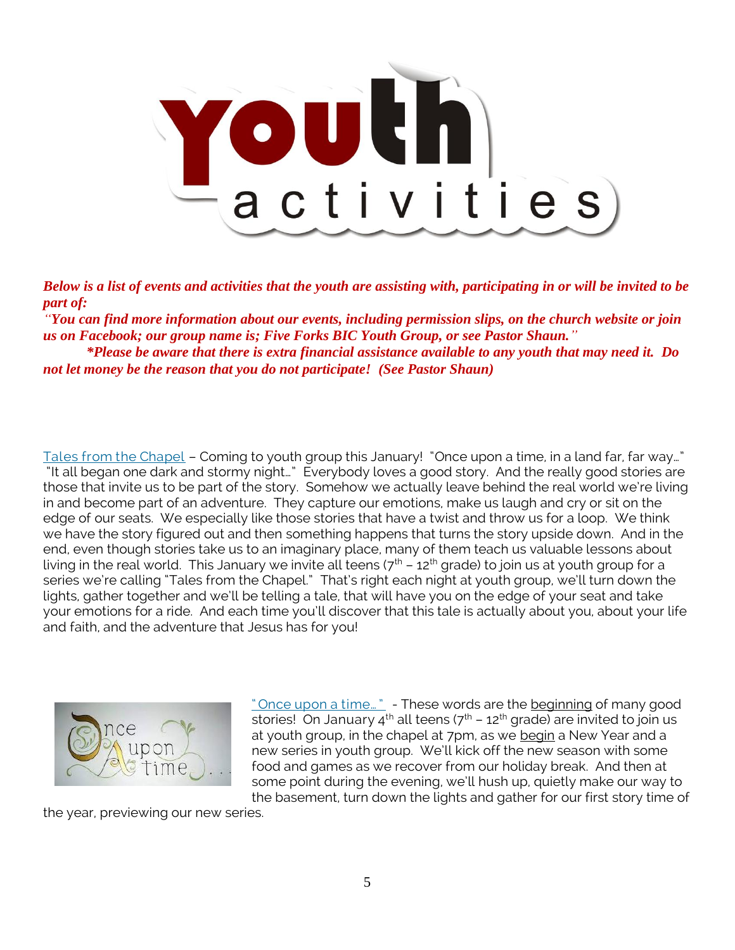

*Below is a list of events and activities that the youth are assisting with, participating in or will be invited to be part of:*

*"You can find more information about our events, including permission slips, on the church website or join us on Facebook; our group name is; Five Forks BIC Youth Group, or see Pastor Shaun." \*Please be aware that there is extra financial assistance available to any youth that may need it. Do not let money be the reason that you do not participate! (See Pastor Shaun)*

Tales from the Chapel – Coming to youth group this January! "Once upon a time, in a land far, far way…" "It all began one dark and stormy night…" Everybody loves a good story. And the really good stories are those that invite us to be part of the story. Somehow we actually leave behind the real world we're living in and become part of an adventure. They capture our emotions, make us laugh and cry or sit on the edge of our seats. We especially like those stories that have a twist and throw us for a loop. We think we have the story figured out and then something happens that turns the story upside down. And in the end, even though stories take us to an imaginary place, many of them teach us valuable lessons about living in the real world. This January we invite all teens  $(7<sup>th</sup> - 12<sup>th</sup>$  grade) to join us at youth group for a series we're calling "Tales from the Chapel." That's right each night at youth group, we'll turn down the lights, gather together and we'll be telling a tale, that will have you on the edge of your seat and take your emotions for a ride. And each time you'll discover that this tale is actually about you, about your life and faith, and the adventure that Jesus has for you!



" Once upon a time..." - These words are the beginning of many good stories! On January 4<sup>th</sup> all teens ( $7<sup>th</sup> - 12<sup>th</sup>$  grade) are invited to join us at youth group, in the chapel at 7pm, as we begin a New Year and a new series in youth group. We'll kick off the new season with some food and games as we recover from our holiday break. And then at some point during the evening, we'll hush up, quietly make our way to the basement, turn down the lights and gather for our first story time of

the year, previewing our new series.